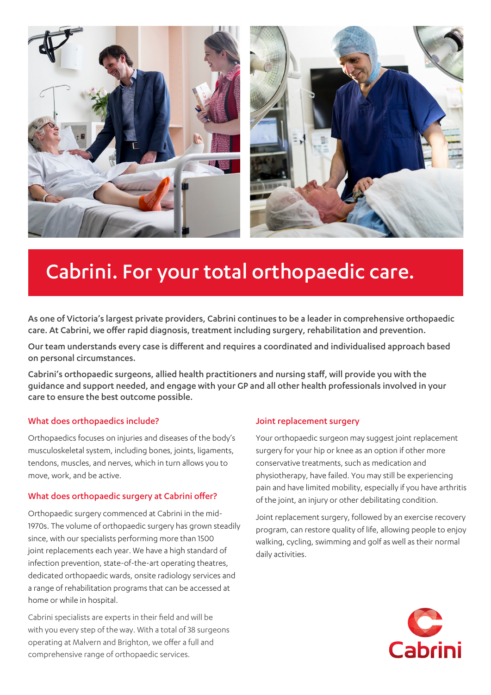

# Cabrini. For your total orthopaedic care.

As one of Victoria's largest private providers, Cabrini continues to be a leader in comprehensive orthopaedic care. At Cabrini, we offer rapid diagnosis, treatment including surgery, rehabilitation and prevention.

Our team understands every case is different and requires a coordinated and individualised approach based on personal circumstances.

Cabrini's orthopaedic surgeons, allied health practitioners and nursing staff, will provide you with the guidance and support needed, and engage with your GP and all other health professionals involved in your care to ensure the best outcome possible.

### What does orthopaedics include?

Orthopaedics focuses on injuries and diseases of the body's musculoskeletal system, including bones, joints, ligaments, tendons, muscles, and nerves, which in turn allows you to move, work, and be active.

### What does orthopaedic surgery at Cabrini offer?

Orthopaedic surgery commenced at Cabrini in the mid-1970s. The volume of orthopaedic surgery has grown steadily since, with our specialists performing more than 1500 joint replacements each year. We have a high standard of infection prevention, state-of-the-art operating theatres, dedicated orthopaedic wards, onsite radiology services and a range of rehabilitation programs that can be accessed at home or while in hospital.

Cabrini specialists are experts in their field and will be with you every step of the way. With a total of 38 surgeons operating at Malvern and Brighton, we offer a full and comprehensive range of orthopaedic services.

### Joint replacement surgery

Your orthopaedic surgeon may suggest joint replacement surgery for your hip or knee as an option if other more conservative treatments, such as medication and physiotherapy, have failed. You may still be experiencing pain and have limited mobility, especially if you have arthritis of the joint, an injury or other debilitating condition.

Joint replacement surgery, followed by an exercise recovery program, can restore quality of life, allowing people to enjoy walking, cycling, swimming and golf as well as their normal daily activities.